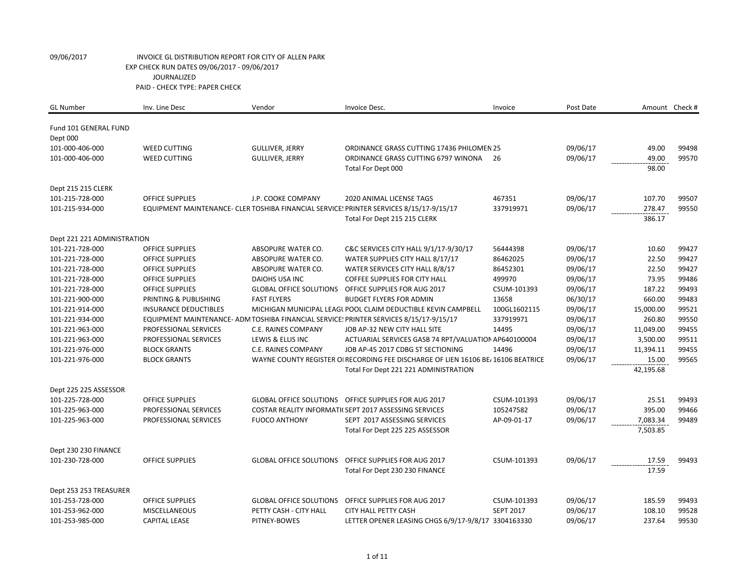| <b>GL Number</b>            | Inv. Line Desc               | Vendor                         | Invoice Desc.                                                                           | Invoice          | Post Date |           | Amount Check # |
|-----------------------------|------------------------------|--------------------------------|-----------------------------------------------------------------------------------------|------------------|-----------|-----------|----------------|
| Fund 101 GENERAL FUND       |                              |                                |                                                                                         |                  |           |           |                |
|                             |                              |                                |                                                                                         |                  |           |           |                |
| Dept 000<br>101-000-406-000 | <b>WEED CUTTING</b>          | <b>GULLIVER, JERRY</b>         | ORDINANCE GRASS CUTTING 17436 PHILOMEN 25                                               |                  | 09/06/17  | 49.00     | 99498          |
| 101-000-406-000             | <b>WEED CUTTING</b>          | <b>GULLIVER, JERRY</b>         | ORDINANCE GRASS CUTTING 6797 WINONA                                                     | 26               | 09/06/17  | 49.00     | 99570          |
|                             |                              |                                | Total For Dept 000                                                                      |                  |           | 98.00     |                |
|                             |                              |                                |                                                                                         |                  |           |           |                |
| Dept 215 215 CLERK          |                              |                                |                                                                                         |                  |           |           |                |
| 101-215-728-000             | <b>OFFICE SUPPLIES</b>       | J.P. COOKE COMPANY             | <b>2020 ANIMAL LICENSE TAGS</b>                                                         | 467351           | 09/06/17  | 107.70    | 99507          |
| 101-215-934-000             |                              |                                | EQUIPMENT MAINTENANCE- CLER TOSHIBA FINANCIAL SERVICE: PRINTER SERVICES 8/15/17-9/15/17 | 337919971        | 09/06/17  | 278.47    | 99550          |
|                             |                              |                                | Total For Dept 215 215 CLERK                                                            |                  |           | 386.17    |                |
| Dept 221 221 ADMINISTRATION |                              |                                |                                                                                         |                  |           |           |                |
| 101-221-728-000             | <b>OFFICE SUPPLIES</b>       | ABSOPURE WATER CO.             | C&C SERVICES CITY HALL 9/1/17-9/30/17                                                   | 56444398         | 09/06/17  | 10.60     | 99427          |
| 101-221-728-000             | <b>OFFICE SUPPLIES</b>       | ABSOPURE WATER CO.             | WATER SUPPLIES CITY HALL 8/17/17                                                        | 86462025         | 09/06/17  | 22.50     | 99427          |
| 101-221-728-000             | <b>OFFICE SUPPLIES</b>       | ABSOPURE WATER CO.             | WATER SERVICES CITY HALL 8/8/17                                                         | 86452301         | 09/06/17  | 22.50     | 99427          |
| 101-221-728-000             | <b>OFFICE SUPPLIES</b>       | DAIOHS USA INC                 | <b>COFFEE SUPPLIES FOR CITY HALL</b>                                                    | 499970           | 09/06/17  | 73.95     | 99486          |
| 101-221-728-000             | <b>OFFICE SUPPLIES</b>       | <b>GLOBAL OFFICE SOLUTIONS</b> | OFFICE SUPPLIES FOR AUG 2017                                                            | CSUM-101393      | 09/06/17  | 187.22    | 99493          |
| 101-221-900-000             | PRINTING & PUBLISHING        | <b>FAST FLYERS</b>             | <b>BUDGET FLYERS FOR ADMIN</b>                                                          | 13658            | 06/30/17  | 660.00    | 99483          |
| 101-221-914-000             | <b>INSURANCE DEDUCTIBLES</b> |                                | MICHIGAN MUNICIPAL LEAGL POOL CLAIM DEDUCTIBLE KEVIN CAMPBELL                           | 100GL1602115     | 09/06/17  | 15,000.00 | 99521          |
| 101-221-934-000             |                              |                                | EQUIPMENT MAINTENANCE- ADM TOSHIBA FINANCIAL SERVICE: PRINTER SERVICES 8/15/17-9/15/17  | 337919971        | 09/06/17  | 260.80    | 99550          |
| 101-221-963-000             | PROFESSIONAL SERVICES        | C.E. RAINES COMPANY            | JOB AP-32 NEW CITY HALL SITE                                                            | 14495            | 09/06/17  | 11,049.00 | 99455          |
| 101-221-963-000             | PROFESSIONAL SERVICES        | LEWIS & ELLIS INC              | ACTUARIAL SERVICES GASB 74 RPT/VALUATION AP640100004                                    |                  | 09/06/17  | 3,500.00  | 99511          |
| 101-221-976-000             | <b>BLOCK GRANTS</b>          | C.E. RAINES COMPANY            | JOB AP-45 2017 CDBG ST SECTIONING                                                       | 14496            | 09/06/17  | 11,394.11 | 99455          |
| 101-221-976-000             | <b>BLOCK GRANTS</b>          |                                | WAYNE COUNTY REGISTER OI RECORDING FEE DISCHARGE OF LIEN 16106 BE / 16106 BEATRICE      |                  | 09/06/17  | 15.00     | 99565          |
|                             |                              |                                | Total For Dept 221 221 ADMINISTRATION                                                   |                  |           | 42,195.68 |                |
| Dept 225 225 ASSESSOR       |                              |                                |                                                                                         |                  |           |           |                |
| 101-225-728-000             | <b>OFFICE SUPPLIES</b>       | <b>GLOBAL OFFICE SOLUTIONS</b> | OFFICE SUPPLIES FOR AUG 2017                                                            | CSUM-101393      | 09/06/17  | 25.51     | 99493          |
| 101-225-963-000             | PROFESSIONAL SERVICES        |                                | COSTAR REALITY INFORMATI(SEPT 2017 ASSESSING SERVICES                                   | 105247582        | 09/06/17  | 395.00    | 99466          |
| 101-225-963-000             | PROFESSIONAL SERVICES        | <b>FUOCO ANTHONY</b>           | SEPT 2017 ASSESSING SERVICES                                                            | AP-09-01-17      | 09/06/17  | 7,083.34  | 99489          |
|                             |                              |                                | Total For Dept 225 225 ASSESSOR                                                         |                  |           | 7,503.85  |                |
|                             |                              |                                |                                                                                         |                  |           |           |                |
| Dept 230 230 FINANCE        |                              |                                |                                                                                         |                  |           |           |                |
| 101-230-728-000             | <b>OFFICE SUPPLIES</b>       | <b>GLOBAL OFFICE SOLUTIONS</b> | OFFICE SUPPLIES FOR AUG 2017                                                            | CSUM-101393      | 09/06/17  | 17.59     | 99493          |
|                             |                              |                                | Total For Dept 230 230 FINANCE                                                          |                  |           | 17.59     |                |
|                             |                              |                                |                                                                                         |                  |           |           |                |
| Dept 253 253 TREASURER      |                              |                                |                                                                                         |                  |           |           |                |
| 101-253-728-000             | <b>OFFICE SUPPLIES</b>       | <b>GLOBAL OFFICE SOLUTIONS</b> | <b>OFFICE SUPPLIES FOR AUG 2017</b>                                                     | CSUM-101393      | 09/06/17  | 185.59    | 99493          |
| 101-253-962-000             | MISCELLANEOUS                | PETTY CASH - CITY HALL         | <b>CITY HALL PETTY CASH</b>                                                             | <b>SEPT 2017</b> | 09/06/17  | 108.10    | 99528          |
| 101-253-985-000             | <b>CAPITAL LEASE</b>         | PITNEY-BOWES                   | LETTER OPENER LEASING CHGS 6/9/17-9/8/17 3304163330                                     |                  | 09/06/17  | 237.64    | 99530          |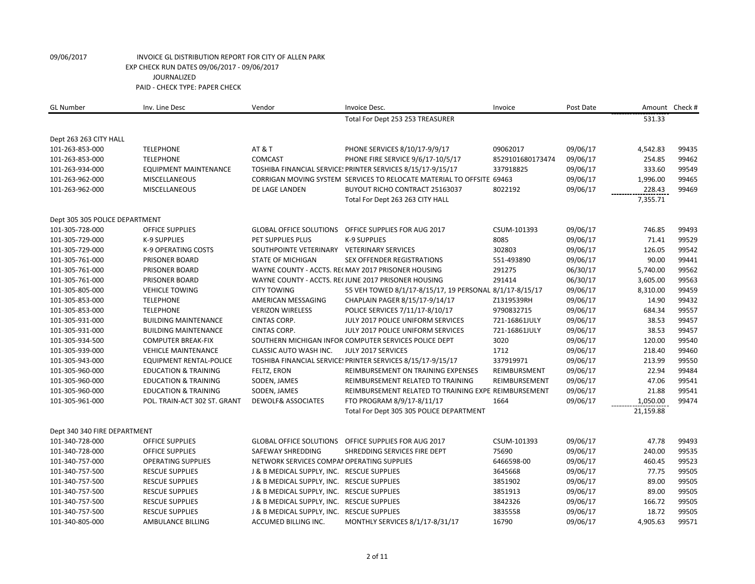| <b>GL Number</b>               | Inv. Line Desc                  | Vendor                                     | Invoice Desc.                                                         | Invoice          | Post Date |           | Amount Check # |
|--------------------------------|---------------------------------|--------------------------------------------|-----------------------------------------------------------------------|------------------|-----------|-----------|----------------|
|                                |                                 |                                            | Total For Dept 253 253 TREASURER                                      |                  |           | 531.33    |                |
| Dept 263 263 CITY HALL         |                                 |                                            |                                                                       |                  |           |           |                |
| 101-263-853-000                | <b>TELEPHONE</b>                | AT&T                                       | PHONE SERVICES 8/10/17-9/9/17                                         | 09062017         | 09/06/17  | 4,542.83  | 99435          |
| 101-263-853-000                | <b>TELEPHONE</b>                | COMCAST                                    | PHONE FIRE SERVICE 9/6/17-10/5/17                                     | 8529101680173474 | 09/06/17  | 254.85    | 99462          |
| 101-263-934-000                | <b>EQUIPMENT MAINTENANCE</b>    |                                            | TOSHIBA FINANCIAL SERVICE: PRINTER SERVICES 8/15/17-9/15/17           | 337918825        | 09/06/17  | 333.60    | 99549          |
| 101-263-962-000                | <b>MISCELLANEOUS</b>            |                                            | CORRIGAN MOVING SYSTEM SERVICES TO RELOCATE MATERIAL TO OFFSITE 69463 |                  | 09/06/17  | 1,996.00  | 99465          |
| 101-263-962-000                | <b>MISCELLANEOUS</b>            | DE LAGE LANDEN                             | BUYOUT RICHO CONTRACT 25163037                                        | 8022192          | 09/06/17  | 228.43    | 99469          |
|                                |                                 |                                            | Total For Dept 263 263 CITY HALL                                      |                  |           | 7,355.71  |                |
| Dept 305 305 POLICE DEPARTMENT |                                 |                                            |                                                                       |                  |           |           |                |
| 101-305-728-000                | <b>OFFICE SUPPLIES</b>          | <b>GLOBAL OFFICE SOLUTIONS</b>             | OFFICE SUPPLIES FOR AUG 2017                                          | CSUM-101393      | 09/06/17  | 746.85    | 99493          |
| 101-305-729-000                | K-9 SUPPLIES                    | PET SUPPLIES PLUS                          | <b>K-9 SUPPLIES</b>                                                   | 8085             | 09/06/17  | 71.41     | 99529          |
| 101-305-729-000                | <b>K-9 OPERATING COSTS</b>      | SOUTHPOINTE VETERINARY VETERINARY SERVICES |                                                                       | 302803           | 09/06/17  | 126.05    | 99542          |
| 101-305-761-000                | <b>PRISONER BOARD</b>           | <b>STATE OF MICHIGAN</b>                   | <b>SEX OFFENDER REGISTRATIONS</b>                                     | 551-493890       | 09/06/17  | 90.00     | 99441          |
| 101-305-761-000                | PRISONER BOARD                  |                                            | WAYNE COUNTY - ACCTS. RECMAY 2017 PRISONER HOUSING                    | 291275           | 06/30/17  | 5,740.00  | 99562          |
| 101-305-761-000                | PRISONER BOARD                  |                                            | WAYNE COUNTY - ACCTS. RECJUNE 2017 PRISONER HOUSING                   | 291414           | 06/30/17  | 3,605.00  | 99563          |
| 101-305-805-000                | <b>VEHICLE TOWING</b>           | <b>CITY TOWING</b>                         | 55 VEH TOWED 8/1/17-8/15/17, 19 PERSONAL 8/1/17-8/15/17               |                  | 09/06/17  | 8,310.00  | 99459          |
| 101-305-853-000                | <b>TELEPHONE</b>                | AMERICAN MESSAGING                         | CHAPLAIN PAGER 8/15/17-9/14/17                                        | Z1319539RH       | 09/06/17  | 14.90     | 99432          |
| 101-305-853-000                | <b>TELEPHONE</b>                | <b>VERIZON WIRELESS</b>                    | POLICE SERVICES 7/11/17-8/10/17                                       | 9790832715       | 09/06/17  | 684.34    | 99557          |
| 101-305-931-000                | <b>BUILDING MAINTENANCE</b>     | CINTAS CORP.                               | JULY 2017 POLICE UNIFORM SERVICES                                     | 721-16861JULY    | 09/06/17  | 38.53     | 99457          |
| 101-305-931-000                | <b>BUILDING MAINTENANCE</b>     | CINTAS CORP.                               | JULY 2017 POLICE UNIFORM SERVICES                                     | 721-16861JULY    | 09/06/17  | 38.53     | 99457          |
| 101-305-934-500                | <b>COMPUTER BREAK-FIX</b>       |                                            | SOUTHERN MICHIGAN INFOR COMPUTER SERVICES POLICE DEPT                 | 3020             | 09/06/17  | 120.00    | 99540          |
| 101-305-939-000                | <b>VEHICLE MAINTENANCE</b>      | <b>CLASSIC AUTO WASH INC.</b>              | JULY 2017 SERVICES                                                    | 1712             | 09/06/17  | 218.40    | 99460          |
| 101-305-943-000                | <b>EQUIPMENT RENTAL-POLICE</b>  |                                            | TOSHIBA FINANCIAL SERVICE: PRINTER SERVICES 8/15/17-9/15/17           | 337919971        | 09/06/17  | 213.99    | 99550          |
| 101-305-960-000                | <b>EDUCATION &amp; TRAINING</b> | FELTZ, ERON                                | REIMBURSEMENT ON TRAINING EXPENSES                                    | REIMBURSMENT     | 09/06/17  | 22.94     | 99484          |
| 101-305-960-000                | <b>EDUCATION &amp; TRAINING</b> | SODEN, JAMES                               | REIMBURSEMENT RELATED TO TRAINING                                     | REIMBURSEMENT    | 09/06/17  | 47.06     | 99541          |
| 101-305-960-000                | <b>EDUCATION &amp; TRAINING</b> | SODEN, JAMES                               | REIMBURSEMENT RELATED TO TRAINING EXPE REIMBURSEMENT                  |                  | 09/06/17  | 21.88     | 99541          |
| 101-305-961-000                | POL. TRAIN-ACT 302 ST. GRANT    | <b>DEWOLF&amp; ASSOCIATES</b>              | FTO PROGRAM 8/9/17-8/11/17                                            | 1664             | 09/06/17  | 1,050.00  | 99474          |
|                                |                                 |                                            | Total For Dept 305 305 POLICE DEPARTMENT                              |                  |           | 21,159.88 |                |
| Dept 340 340 FIRE DEPARTMENT   |                                 |                                            |                                                                       |                  |           |           |                |
| 101-340-728-000                | <b>OFFICE SUPPLIES</b>          | <b>GLOBAL OFFICE SOLUTIONS</b>             | OFFICE SUPPLIES FOR AUG 2017                                          | CSUM-101393      | 09/06/17  | 47.78     | 99493          |
| 101-340-728-000                | <b>OFFICE SUPPLIES</b>          | SAFEWAY SHREDDING                          | SHREDDING SERVICES FIRE DEPT                                          | 75690            | 09/06/17  | 240.00    | 99535          |
| 101-340-757-000                | <b>OPERATING SUPPLIES</b>       | NETWORK SERVICES COMPAI OPERATING SUPPLIES |                                                                       | 6466598-00       | 09/06/17  | 460.45    | 99523          |
| 101-340-757-500                | <b>RESCUE SUPPLIES</b>          | J & B MEDICAL SUPPLY, INC. RESCUE SUPPLIES |                                                                       | 3645668          | 09/06/17  | 77.75     | 99505          |
| 101-340-757-500                | <b>RESCUE SUPPLIES</b>          | J & B MEDICAL SUPPLY, INC. RESCUE SUPPLIES |                                                                       | 3851902          | 09/06/17  | 89.00     | 99505          |
| 101-340-757-500                | <b>RESCUE SUPPLIES</b>          | J & B MEDICAL SUPPLY, INC. RESCUE SUPPLIES |                                                                       | 3851913          | 09/06/17  | 89.00     | 99505          |
| 101-340-757-500                | <b>RESCUE SUPPLIES</b>          | J & B MEDICAL SUPPLY, INC. RESCUE SUPPLIES |                                                                       | 3842326          | 09/06/17  | 166.72    | 99505          |
| 101-340-757-500                | <b>RESCUE SUPPLIES</b>          | J & B MEDICAL SUPPLY, INC. RESCUE SUPPLIES |                                                                       | 3835558          | 09/06/17  | 18.72     | 99505          |
| 101-340-805-000                | AMBULANCE BILLING               | ACCUMED BILLING INC.                       | MONTHLY SERVICES 8/1/17-8/31/17                                       | 16790            | 09/06/17  | 4,905.63  | 99571          |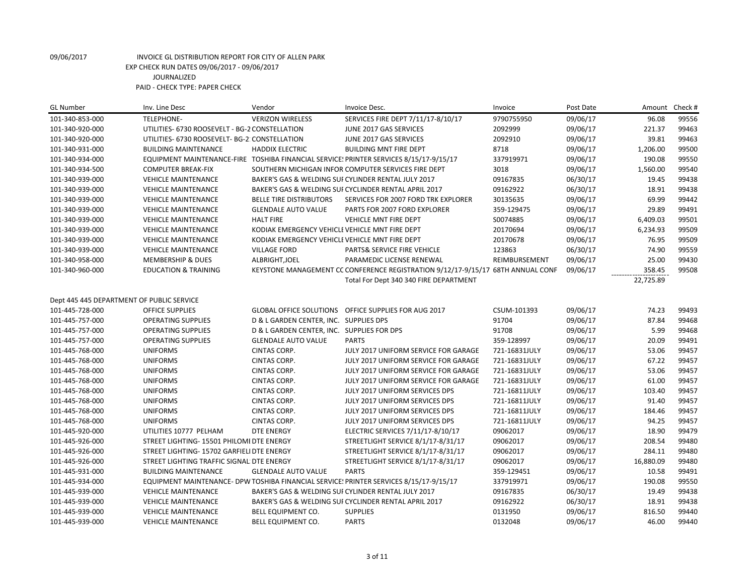| <b>GL Number</b>                          | Inv. Line Desc                                 | Vendor                                         | Invoice Desc.                                                                          | Invoice       | Post Date | Amount    | Check # |
|-------------------------------------------|------------------------------------------------|------------------------------------------------|----------------------------------------------------------------------------------------|---------------|-----------|-----------|---------|
| 101-340-853-000                           | <b>TELEPHONE-</b>                              | <b>VERIZON WIRELESS</b>                        | SERVICES FIRE DEPT 7/11/17-8/10/17                                                     | 9790755950    | 09/06/17  | 96.08     | 99556   |
| 101-340-920-000                           | UTILITIES- 6730 ROOSEVELT - BG-2 CONSTELLATION |                                                | JUNE 2017 GAS SERVICES                                                                 | 2092999       | 09/06/17  | 221.37    | 99463   |
| 101-340-920-000                           | UTILITIES- 6730 ROOSEVELT- BG-2: CONSTELLATION |                                                | JUNE 2017 GAS SERVICES                                                                 | 2092910       | 09/06/17  | 39.81     | 99463   |
| 101-340-931-000                           | <b>BUILDING MAINTENANCE</b>                    | <b>HADDIX ELECTRIC</b>                         | <b>BUILDING MNT FIRE DEPT</b>                                                          | 8718          | 09/06/17  | 1,206.00  | 99500   |
| 101-340-934-000                           |                                                |                                                | EQUIPMENT MAINTENANCE-FIRE TOSHIBA FINANCIAL SERVICE! PRINTER SERVICES 8/15/17-9/15/17 | 337919971     | 09/06/17  | 190.08    | 99550   |
| 101-340-934-500                           | <b>COMPUTER BREAK-FIX</b>                      |                                                | SOUTHERN MICHIGAN INFOR COMPUTER SERVICES FIRE DEPT                                    | 3018          | 09/06/17  | 1,560.00  | 99540   |
| 101-340-939-000                           | <b>VEHICLE MAINTENANCE</b>                     |                                                | BAKER'S GAS & WELDING SUI CYLINDER RENTAL JULY 2017                                    | 09167835      | 06/30/17  | 19.45     | 99438   |
| 101-340-939-000                           | <b>VEHICLE MAINTENANCE</b>                     |                                                | BAKER'S GAS & WELDING SUF CYCLINDER RENTAL APRIL 2017                                  | 09162922      | 06/30/17  | 18.91     | 99438   |
| 101-340-939-000                           | <b>VEHICLE MAINTENANCE</b>                     | <b>BELLE TIRE DISTRIBUTORS</b>                 | SERVICES FOR 2007 FORD TRK EXPLORER                                                    | 30135635      | 09/06/17  | 69.99     | 99442   |
| 101-340-939-000                           | <b>VEHICLE MAINTENANCE</b>                     | <b>GLENDALE AUTO VALUE</b>                     | PARTS FOR 2007 FORD EXPLORER                                                           | 359-129475    | 09/06/17  | 29.89     | 99491   |
| 101-340-939-000                           | <b>VEHICLE MAINTENANCE</b>                     | <b>HALT FIRE</b>                               | VEHICLE MNT FIRE DEPT                                                                  | S0074885      | 09/06/17  | 6,409.03  | 99501   |
| 101-340-939-000                           | <b>VEHICLE MAINTENANCE</b>                     | KODIAK EMERGENCY VEHICLE VEHICLE MNT FIRE DEPT |                                                                                        | 20170694      | 09/06/17  | 6,234.93  | 99509   |
| 101-340-939-000                           | <b>VEHICLE MAINTENANCE</b>                     | KODIAK EMERGENCY VEHICLE VEHICLE MNT FIRE DEPT |                                                                                        | 20170678      | 09/06/17  | 76.95     | 99509   |
| 101-340-939-000                           | <b>VEHICLE MAINTENANCE</b>                     | <b>VILLAGE FORD</b>                            | PARTS& SERVICE FIRE VEHICLE                                                            | 123863        | 06/30/17  | 74.90     | 99559   |
| 101-340-958-000                           | <b>MEMBERSHIP &amp; DUES</b>                   | ALBRIGHT, JOEL                                 | PARAMEDIC LICENSE RENEWAL                                                              | REIMBURSEMENT | 09/06/17  | 25.00     | 99430   |
| 101-340-960-000                           | <b>EDUCATION &amp; TRAINING</b>                |                                                | KEYSTONE MANAGEMENT CC CONFERENCE REGISTRATION 9/12/17-9/15/17 68TH ANNUAL CONF        |               | 09/06/17  | 358.45    | 99508   |
|                                           |                                                |                                                | Total For Dept 340 340 FIRE DEPARTMENT                                                 |               |           | 22,725.89 |         |
|                                           |                                                |                                                |                                                                                        |               |           |           |         |
| Dept 445 445 DEPARTMENT OF PUBLIC SERVICE |                                                |                                                |                                                                                        |               |           |           |         |
| 101-445-728-000                           | <b>OFFICE SUPPLIES</b>                         |                                                | GLOBAL OFFICE SOLUTIONS OFFICE SUPPLIES FOR AUG 2017                                   | CSUM-101393   | 09/06/17  | 74.23     | 99493   |
| 101-445-757-000                           | <b>OPERATING SUPPLIES</b>                      | D & L GARDEN CENTER, INC. SUPPLIES DPS         |                                                                                        | 91704         | 09/06/17  | 87.84     | 99468   |
| 101-445-757-000                           | <b>OPERATING SUPPLIES</b>                      | D & L GARDEN CENTER, INC. SUPPLIES FOR DPS     |                                                                                        | 91708         | 09/06/17  | 5.99      | 99468   |
| 101-445-757-000                           | <b>OPERATING SUPPLIES</b>                      | <b>GLENDALE AUTO VALUE</b>                     | <b>PARTS</b>                                                                           | 359-128997    | 09/06/17  | 20.09     | 99491   |
| 101-445-768-000                           | <b>UNIFORMS</b>                                | CINTAS CORP.                                   | JULY 2017 UNIFORM SERVICE FOR GARAGE                                                   | 721-16831JULY | 09/06/17  | 53.06     | 99457   |
| 101-445-768-000                           | <b>UNIFORMS</b>                                | CINTAS CORP.                                   | JULY 2017 UNIFORM SERVICE FOR GARAGE                                                   | 721-16831JULY | 09/06/17  | 67.22     | 99457   |
| 101-445-768-000                           | <b>UNIFORMS</b>                                | CINTAS CORP.                                   | JULY 2017 UNIFORM SERVICE FOR GARAGE                                                   | 721-16831JULY | 09/06/17  | 53.06     | 99457   |
| 101-445-768-000                           | <b>UNIFORMS</b>                                | CINTAS CORP.                                   | JULY 2017 UNIFORM SERVICE FOR GARAGE                                                   | 721-16831JULY | 09/06/17  | 61.00     | 99457   |
| 101-445-768-000                           | <b>UNIFORMS</b>                                | CINTAS CORP.                                   | JULY 2017 UNIFORM SERVICES DPS                                                         | 721-16811JULY | 09/06/17  | 103.40    | 99457   |
| 101-445-768-000                           | <b>UNIFORMS</b>                                | <b>CINTAS CORP.</b>                            | JULY 2017 UNIFORM SERVICES DPS                                                         | 721-16811JULY | 09/06/17  | 91.40     | 99457   |
| 101-445-768-000                           | <b>UNIFORMS</b>                                | CINTAS CORP.                                   | JULY 2017 UNIFORM SERVICES DPS                                                         | 721-16811JULY | 09/06/17  | 184.46    | 99457   |
| 101-445-768-000                           | <b>UNIFORMS</b>                                | CINTAS CORP.                                   | JULY 2017 UNIFORM SERVICES DPS                                                         | 721-16811JULY | 09/06/17  | 94.25     | 99457   |
| 101-445-920-000                           | UTILITIES 10777 PELHAM                         | <b>DTE ENERGY</b>                              | ELECTRIC SERVICES 7/11/17-8/10/17                                                      | 09062017      | 09/06/17  | 18.90     | 99479   |
| 101-445-926-000                           | STREET LIGHTING- 15501 PHILOMI DTE ENERGY      |                                                | STREETLIGHT SERVICE 8/1/17-8/31/17                                                     | 09062017      | 09/06/17  | 208.54    | 99480   |
| 101-445-926-000                           | STREET LIGHTING- 15702 GARFIELI DTE ENERGY     |                                                | STREETLIGHT SERVICE 8/1/17-8/31/17                                                     | 09062017      | 09/06/17  | 284.11    | 99480   |
| 101-445-926-000                           | STREET LIGHTING TRAFFIC SIGNAL DTE ENERGY      |                                                | STREETLIGHT SERVICE 8/1/17-8/31/17                                                     | 09062017      | 09/06/17  | 16,880.09 | 99480   |
| 101-445-931-000                           | <b>BUILDING MAINTENANCE</b>                    | <b>GLENDALE AUTO VALUE</b>                     | <b>PARTS</b>                                                                           | 359-129451    | 09/06/17  | 10.58     | 99491   |
| 101-445-934-000                           |                                                |                                                | EQUIPMENT MAINTENANCE- DPW TOSHIBA FINANCIAL SERVICE! PRINTER SERVICES 8/15/17-9/15/17 | 337919971     | 09/06/17  | 190.08    | 99550   |
| 101-445-939-000                           | <b>VEHICLE MAINTENANCE</b>                     |                                                | BAKER'S GAS & WELDING SUI CYLINDER RENTAL JULY 2017                                    | 09167835      | 06/30/17  | 19.49     | 99438   |
| 101-445-939-000                           | <b>VEHICLE MAINTENANCE</b>                     |                                                | BAKER'S GAS & WELDING SUI CYCLINDER RENTAL APRIL 2017                                  | 09162922      | 06/30/17  | 18.91     | 99438   |
| 101-445-939-000                           | <b>VEHICLE MAINTENANCE</b>                     | BELL EQUIPMENT CO.                             | <b>SUPPLIES</b>                                                                        | 0131950       | 09/06/17  | 816.50    | 99440   |
| 101-445-939-000                           | <b>VEHICLE MAINTENANCE</b>                     | BELL EQUIPMENT CO.                             | <b>PARTS</b>                                                                           | 0132048       | 09/06/17  | 46.00     | 99440   |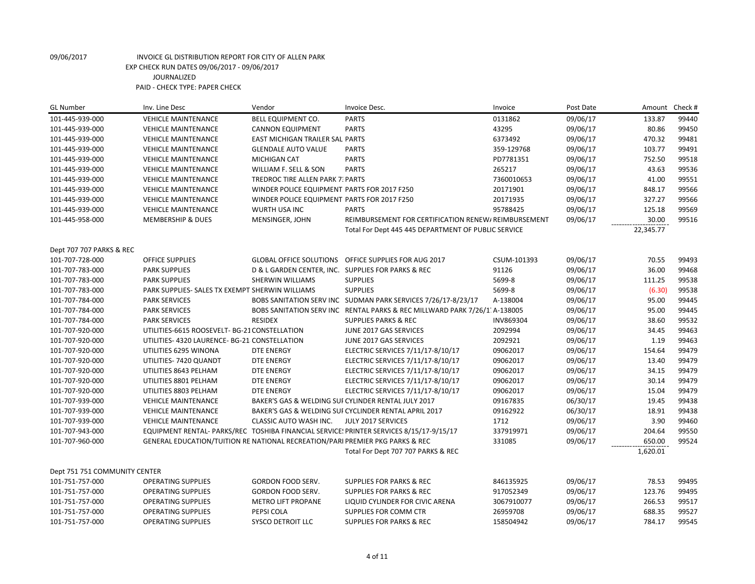| <b>GL Number</b>              | Inv. Line Desc                                                                | Vendor                                      | Invoice Desc.                                                                           | Invoice     | Post Date | Amount    | Check# |
|-------------------------------|-------------------------------------------------------------------------------|---------------------------------------------|-----------------------------------------------------------------------------------------|-------------|-----------|-----------|--------|
| 101-445-939-000               | <b>VEHICLE MAINTENANCE</b>                                                    | <b>BELL EQUIPMENT CO.</b>                   | <b>PARTS</b>                                                                            | 0131862     | 09/06/17  | 133.87    | 99440  |
| 101-445-939-000               | <b>VEHICLE MAINTENANCE</b>                                                    | <b>CANNON EQUIPMENT</b>                     | <b>PARTS</b>                                                                            | 43295       | 09/06/17  | 80.86     | 99450  |
| 101-445-939-000               | <b>VEHICLE MAINTENANCE</b>                                                    | EAST MICHIGAN TRAILER SAL PARTS             |                                                                                         | 6373492     | 09/06/17  | 470.32    | 99481  |
| 101-445-939-000               | <b>VEHICLE MAINTENANCE</b>                                                    | <b>GLENDALE AUTO VALUE</b>                  | <b>PARTS</b>                                                                            | 359-129768  | 09/06/17  | 103.77    | 99491  |
| 101-445-939-000               | <b>VEHICLE MAINTENANCE</b>                                                    | <b>MICHIGAN CAT</b>                         | <b>PARTS</b>                                                                            | PD7781351   | 09/06/17  | 752.50    | 99518  |
| 101-445-939-000               | <b>VEHICLE MAINTENANCE</b>                                                    | WILLIAM F. SELL & SON                       | <b>PARTS</b>                                                                            | 265217      | 09/06/17  | 43.63     | 99536  |
| 101-445-939-000               | <b>VEHICLE MAINTENANCE</b>                                                    | TREDROC TIRE ALLEN PARK 7: PARTS            |                                                                                         | 7360010653  | 09/06/17  | 41.00     | 99551  |
| 101-445-939-000               | <b>VEHICLE MAINTENANCE</b>                                                    | WINDER POLICE EQUIPMENT PARTS FOR 2017 F250 |                                                                                         | 20171901    | 09/06/17  | 848.17    | 99566  |
| 101-445-939-000               | <b>VEHICLE MAINTENANCE</b>                                                    | WINDER POLICE EQUIPMENT PARTS FOR 2017 F250 |                                                                                         | 20171935    | 09/06/17  | 327.27    | 99566  |
| 101-445-939-000               | <b>VEHICLE MAINTENANCE</b>                                                    | WURTH USA INC                               | <b>PARTS</b>                                                                            | 95788425    | 09/06/17  | 125.18    | 99569  |
| 101-445-958-000               | <b>MEMBERSHIP &amp; DUES</b>                                                  | MENSINGER, JOHN                             | REIMBURSEMENT FOR CERTIFICATION RENEW/REIMBURSEMENT                                     |             | 09/06/17  | 30.00     | 99516  |
|                               |                                                                               |                                             | Total For Dept 445 445 DEPARTMENT OF PUBLIC SERVICE                                     |             |           | 22,345.77 |        |
|                               |                                                                               |                                             |                                                                                         |             |           |           |        |
| Dept 707 707 PARKS & REC      |                                                                               |                                             |                                                                                         |             |           |           |        |
| 101-707-728-000               | <b>OFFICE SUPPLIES</b>                                                        |                                             | GLOBAL OFFICE SOLUTIONS OFFICE SUPPLIES FOR AUG 2017                                    | CSUM-101393 | 09/06/17  | 70.55     | 99493  |
| 101-707-783-000               | <b>PARK SUPPLIES</b>                                                          |                                             | D & L GARDEN CENTER, INC. SUPPLIES FOR PARKS & REC                                      | 91126       | 09/06/17  | 36.00     | 99468  |
| 101-707-783-000               | <b>PARK SUPPLIES</b>                                                          | SHERWIN WILLIAMS                            | <b>SUPPLIES</b>                                                                         | 5699-8      | 09/06/17  | 111.25    | 99538  |
| 101-707-783-000               | PARK SUPPLIES- SALES TX EXEMPT SHERWIN WILLIAMS                               |                                             | <b>SUPPLIES</b>                                                                         | 5699-8      | 09/06/17  | (6.30)    | 99538  |
| 101-707-784-000               | <b>PARK SERVICES</b>                                                          |                                             | BOBS SANITATION SERV INC SUDMAN PARK SERVICES 7/26/17-8/23/17                           | A-138004    | 09/06/17  | 95.00     | 99445  |
| 101-707-784-000               | <b>PARK SERVICES</b>                                                          |                                             | BOBS SANITATION SERV INC RENTAL PARKS & REC MILLWARD PARK 7/26/1 A-138005               |             | 09/06/17  | 95.00     | 99445  |
| 101-707-784-000               | <b>PARK SERVICES</b>                                                          | <b>RESIDEX</b>                              | <b>SUPPLIES PARKS &amp; REC</b>                                                         | INV869304   | 09/06/17  | 38.60     | 99532  |
| 101-707-920-000               | UTILITIES-6615 ROOSEVELT- BG-21 CONSTELLATION                                 |                                             | JUNE 2017 GAS SERVICES                                                                  | 2092994     | 09/06/17  | 34.45     | 99463  |
| 101-707-920-000               | UTILITIES- 4320 LAURENCE- BG-21 CONSTELLATION                                 |                                             | JUNE 2017 GAS SERVICES                                                                  | 2092921     | 09/06/17  | 1.19      | 99463  |
| 101-707-920-000               | UTILITIES 6295 WINONA                                                         | <b>DTE ENERGY</b>                           | ELECTRIC SERVICES 7/11/17-8/10/17                                                       | 09062017    | 09/06/17  | 154.64    | 99479  |
| 101-707-920-000               | UTILITIES-7420 QUANDT                                                         | <b>DTE ENERGY</b>                           | ELECTRIC SERVICES 7/11/17-8/10/17                                                       | 09062017    | 09/06/17  | 13.40     | 99479  |
| 101-707-920-000               | UTILITIES 8643 PELHAM                                                         | DTE ENERGY                                  | ELECTRIC SERVICES 7/11/17-8/10/17                                                       | 09062017    | 09/06/17  | 34.15     | 99479  |
| 101-707-920-000               | UTILITIES 8801 PELHAM                                                         | DTE ENERGY                                  | ELECTRIC SERVICES 7/11/17-8/10/17                                                       | 09062017    | 09/06/17  | 30.14     | 99479  |
| 101-707-920-000               | UTILITIES 8803 PELHAM                                                         | <b>DTE ENERGY</b>                           | ELECTRIC SERVICES 7/11/17-8/10/17                                                       | 09062017    | 09/06/17  | 15.04     | 99479  |
| 101-707-939-000               | <b>VEHICLE MAINTENANCE</b>                                                    |                                             | BAKER'S GAS & WELDING SUF CYLINDER RENTAL JULY 2017                                     | 09167835    | 06/30/17  | 19.45     | 99438  |
| 101-707-939-000               | <b>VEHICLE MAINTENANCE</b>                                                    |                                             | BAKER'S GAS & WELDING SUI CYCLINDER RENTAL APRIL 2017                                   | 09162922    | 06/30/17  | 18.91     | 99438  |
| 101-707-939-000               | <b>VEHICLE MAINTENANCE</b>                                                    | CLASSIC AUTO WASH INC.                      | JULY 2017 SERVICES                                                                      | 1712        | 09/06/17  | 3.90      | 99460  |
| 101-707-943-000               |                                                                               |                                             | EQUIPMENT RENTAL- PARKS/REC TOSHIBA FINANCIAL SERVICE: PRINTER SERVICES 8/15/17-9/15/17 | 337919971   | 09/06/17  | 204.64    | 99550  |
| 101-707-960-000               | GENERAL EDUCATION/TUITION RE NATIONAL RECREATION/PARI PREMIER PKG PARKS & REC |                                             |                                                                                         | 331085      | 09/06/17  | 650.00    | 99524  |
|                               |                                                                               |                                             | Total For Dept 707 707 PARKS & REC                                                      |             |           | 1,620.01  |        |
|                               |                                                                               |                                             |                                                                                         |             |           |           |        |
| Dept 751 751 COMMUNITY CENTER |                                                                               |                                             |                                                                                         |             |           |           |        |
| 101-751-757-000               | <b>OPERATING SUPPLIES</b>                                                     | GORDON FOOD SERV.                           | <b>SUPPLIES FOR PARKS &amp; REC</b>                                                     | 846135925   | 09/06/17  | 78.53     | 99495  |
| 101-751-757-000               | <b>OPERATING SUPPLIES</b>                                                     | GORDON FOOD SERV.                           | <b>SUPPLIES FOR PARKS &amp; REC</b>                                                     | 917052349   | 09/06/17  | 123.76    | 99495  |
| 101-751-757-000               | <b>OPERATING SUPPLIES</b>                                                     | <b>METRO LIFT PROPANE</b>                   | LIQUID CYLINDER FOR CIVIC ARENA                                                         | 3067910077  | 09/06/17  | 266.53    | 99517  |
| 101-751-757-000               | <b>OPERATING SUPPLIES</b>                                                     | PEPSI COLA                                  | SUPPLIES FOR COMM CTR                                                                   | 26959708    | 09/06/17  | 688.35    | 99527  |
| 101-751-757-000               | <b>OPERATING SUPPLIES</b>                                                     | SYSCO DETROIT LLC                           | <b>SUPPLIES FOR PARKS &amp; REC</b>                                                     | 158504942   | 09/06/17  | 784.17    | 99545  |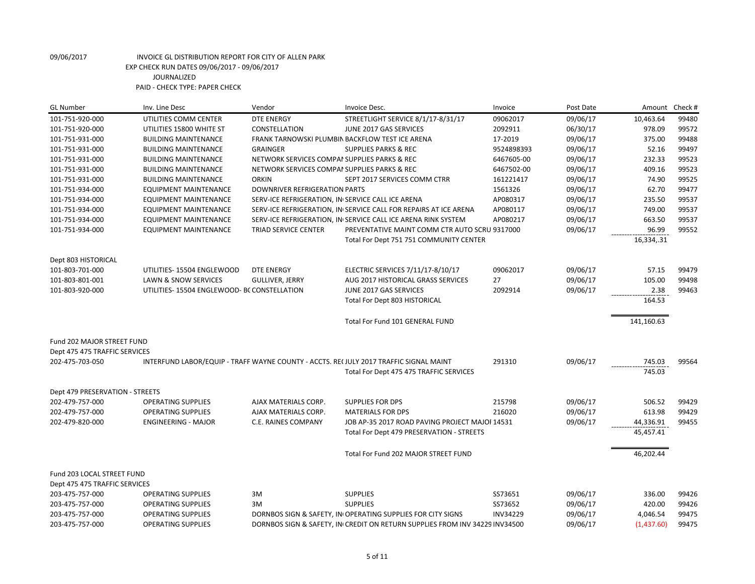| <b>GL Number</b><br>Inv. Line Desc                                              | Vendor                                                                                | Invoice Desc.                                                    | Invoice    | Post Date | Amount     | Check # |
|---------------------------------------------------------------------------------|---------------------------------------------------------------------------------------|------------------------------------------------------------------|------------|-----------|------------|---------|
| 101-751-920-000                                                                 | UTILITIES COMM CENTER<br><b>DTE ENERGY</b>                                            | STREETLIGHT SERVICE 8/1/17-8/31/17                               | 09062017   | 09/06/17  | 10,463.64  | 99480   |
| 101-751-920-000                                                                 | CONSTELLATION<br>UTILITIES 15800 WHITE ST                                             | JUNE 2017 GAS SERVICES                                           | 2092911    | 06/30/17  | 978.09     | 99572   |
| 101-751-931-000                                                                 | <b>BUILDING MAINTENANCE</b>                                                           | FRANK TARNOWSKI PLUMBIN BACKFLOW TEST ICE ARENA                  | 17-2019    | 09/06/17  | 375.00     | 99488   |
| 101-751-931-000                                                                 | <b>BUILDING MAINTENANCE</b><br><b>GRAINGER</b>                                        | <b>SUPPLIES PARKS &amp; REC</b>                                  | 9524898393 | 09/06/17  | 52.16      | 99497   |
| 101-751-931-000                                                                 | <b>BUILDING MAINTENANCE</b>                                                           | NETWORK SERVICES COMPAI SUPPLIES PARKS & REC                     | 6467605-00 | 09/06/17  | 232.33     | 99523   |
| 101-751-931-000                                                                 | <b>BUILDING MAINTENANCE</b>                                                           | NETWORK SERVICES COMPAI SUPPLIES PARKS & REC                     | 6467502-00 | 09/06/17  | 409.16     | 99523   |
| 101-751-931-000                                                                 | <b>ORKIN</b><br><b>BUILDING MAINTENANCE</b>                                           | SEPT 2017 SERVICES COMM CTRR                                     | 161221417  | 09/06/17  | 74.90      | 99525   |
| 101-751-934-000                                                                 | <b>EQUIPMENT MAINTENANCE</b><br>DOWNRIVER REFRIGERATION PARTS                         |                                                                  | 1561326    | 09/06/17  | 62.70      | 99477   |
| 101-751-934-000                                                                 | <b>EQUIPMENT MAINTENANCE</b>                                                          | SERV-ICE REFRIGERATION, IN SERVICE CALL ICE ARENA                | AP080317   | 09/06/17  | 235.50     | 99537   |
| 101-751-934-000                                                                 | <b>EQUIPMENT MAINTENANCE</b>                                                          | SERV-ICE REFRIGERATION, IN SERVICE CALL FOR REPAIRS AT ICE ARENA | AP080117   | 09/06/17  | 749.00     | 99537   |
| 101-751-934-000                                                                 | <b>EQUIPMENT MAINTENANCE</b>                                                          | SERV-ICE REFRIGERATION, IN SERVICE CALL ICE ARENA RINK SYSTEM    | AP080217   | 09/06/17  | 663.50     | 99537   |
| 101-751-934-000                                                                 | <b>EQUIPMENT MAINTENANCE</b><br><b>TRIAD SERVICE CENTER</b>                           | PREVENTATIVE MAINT COMM CTR AUTO SCRU 9317000                    |            | 09/06/17  | 96.99      | 99552   |
|                                                                                 |                                                                                       | Total For Dept 751 751 COMMUNITY CENTER                          |            |           | 16,334,.31 |         |
|                                                                                 |                                                                                       |                                                                  |            |           |            |         |
| Dept 803 HISTORICAL                                                             |                                                                                       |                                                                  |            |           |            |         |
| 101-803-701-000                                                                 | <b>DTE ENERGY</b><br>UTILITIES-15504 ENGLEWOOD                                        | ELECTRIC SERVICES 7/11/17-8/10/17                                | 09062017   | 09/06/17  | 57.15      | 99479   |
| 101-803-801-001                                                                 | LAWN & SNOW SERVICES<br><b>GULLIVER, JERRY</b>                                        | AUG 2017 HISTORICAL GRASS SERVICES                               | 27         | 09/06/17  | 105.00     | 99498   |
| 101-803-920-000                                                                 | UTILITIES-15504 ENGLEWOOD- BC CONSTELLATION                                           | JUNE 2017 GAS SERVICES                                           | 2092914    | 09/06/17  | 2.38       | 99463   |
|                                                                                 |                                                                                       | Total For Dept 803 HISTORICAL                                    |            |           | 164.53     |         |
|                                                                                 |                                                                                       |                                                                  |            |           |            |         |
|                                                                                 |                                                                                       | Total For Fund 101 GENERAL FUND                                  |            |           | 141,160.63 |         |
|                                                                                 |                                                                                       |                                                                  |            |           |            |         |
| Fund 202 MAJOR STREET FUND                                                      |                                                                                       |                                                                  |            |           |            |         |
| Dept 475 475 TRAFFIC SERVICES                                                   |                                                                                       |                                                                  |            |           |            |         |
| 202-475-703-050                                                                 | INTERFUND LABOR/EQUIP - TRAFF WAYNE COUNTY - ACCTS. RECJULY 2017 TRAFFIC SIGNAL MAINT |                                                                  | 291310     | 09/06/17  | 745.03     | 99564   |
|                                                                                 |                                                                                       | Total For Dept 475 475 TRAFFIC SERVICES                          |            |           | 745.03     |         |
|                                                                                 |                                                                                       |                                                                  |            |           |            |         |
| Dept 479 PRESERVATION - STREETS<br>202-479-757-000<br><b>OPERATING SUPPLIES</b> | AJAX MATERIALS CORP.                                                                  | <b>SUPPLIES FOR DPS</b>                                          | 215798     | 09/06/17  | 506.52     | 99429   |
| 202-479-757-000<br><b>OPERATING SUPPLIES</b>                                    | AJAX MATERIALS CORP.                                                                  | <b>MATERIALS FOR DPS</b>                                         | 216020     | 09/06/17  | 613.98     | 99429   |
| 202-479-820-000<br><b>ENGINEERING - MAJOR</b>                                   | C.E. RAINES COMPANY                                                                   | JOB AP-35 2017 ROAD PAVING PROJECT MAJOI 14531                   |            | 09/06/17  | 44,336.91  | 99455   |
|                                                                                 |                                                                                       | Total For Dept 479 PRESERVATION - STREETS                        |            |           | 45,457.41  |         |
|                                                                                 |                                                                                       |                                                                  |            |           |            |         |
|                                                                                 |                                                                                       |                                                                  |            |           |            |         |
|                                                                                 |                                                                                       | Total For Fund 202 MAJOR STREET FUND                             |            |           | 46,202.44  |         |
| Fund 203 LOCAL STREET FUND                                                      |                                                                                       |                                                                  |            |           |            |         |
| Dept 475 475 TRAFFIC SERVICES                                                   |                                                                                       |                                                                  |            |           |            |         |
| 203-475-757-000<br><b>OPERATING SUPPLIES</b>                                    | 3M                                                                                    | <b>SUPPLIES</b>                                                  | SS73651    | 09/06/17  | 336.00     | 99426   |
| 203-475-757-000<br><b>OPERATING SUPPLIES</b>                                    | 3M                                                                                    | <b>SUPPLIES</b>                                                  | SS73652    | 09/06/17  | 420.00     | 99426   |
| 203-475-757-000<br><b>OPERATING SUPPLIES</b>                                    |                                                                                       |                                                                  |            |           |            |         |
|                                                                                 |                                                                                       | DORNBOS SIGN & SAFETY, IN OPERATING SUPPLIES FOR CITY SIGNS      | INV34229   | 09/06/17  | 4,046.54   | 99475   |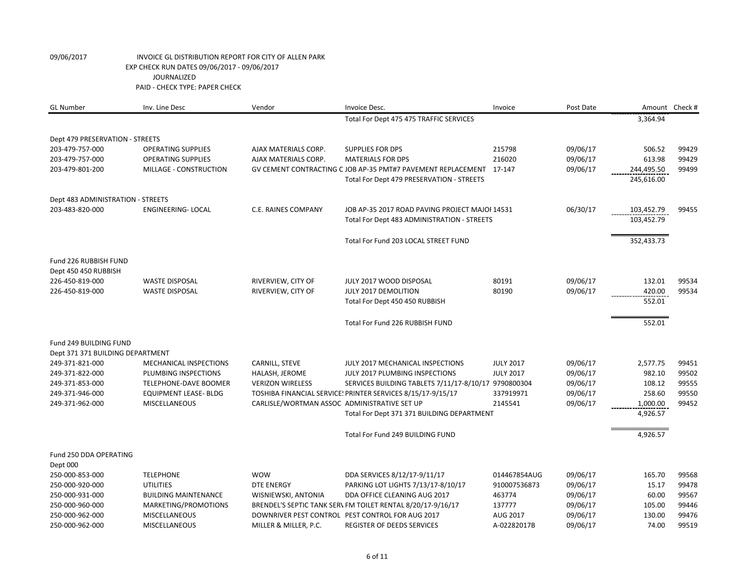| <b>GL Number</b>                              | Inv. Line Desc                                        | Vendor                                       | Invoice Desc.                                                                                                       | Invoice          | Post Date            |                  | Amount Check # |
|-----------------------------------------------|-------------------------------------------------------|----------------------------------------------|---------------------------------------------------------------------------------------------------------------------|------------------|----------------------|------------------|----------------|
|                                               |                                                       |                                              | Total For Dept 475 475 TRAFFIC SERVICES                                                                             |                  |                      | 3,364.94         |                |
| Dept 479 PRESERVATION - STREETS               |                                                       |                                              |                                                                                                                     |                  |                      |                  |                |
| 203-479-757-000                               | <b>OPERATING SUPPLIES</b>                             | AJAX MATERIALS CORP.                         | <b>SUPPLIES FOR DPS</b>                                                                                             | 215798           | 09/06/17             | 506.52           | 99429          |
| 203-479-757-000                               | <b>OPERATING SUPPLIES</b>                             | AJAX MATERIALS CORP.                         | <b>MATERIALS FOR DPS</b>                                                                                            | 216020           | 09/06/17             | 613.98           | 99429          |
| 203-479-801-200                               | MILLAGE - CONSTRUCTION                                |                                              | GV CEMENT CONTRACTING C JOB AP-35 PMT#7 PAVEMENT REPLACEMENT 17-147                                                 |                  | 09/06/17             | 244,495.50       | 99499          |
|                                               |                                                       |                                              | Total For Dept 479 PRESERVATION - STREETS                                                                           |                  |                      | 245,616.00       |                |
| Dept 483 ADMINISTRATION - STREETS             |                                                       |                                              |                                                                                                                     |                  |                      |                  |                |
| 203-483-820-000                               | <b>ENGINEERING- LOCAL</b>                             | <b>C.E. RAINES COMPANY</b>                   | 06/30/17<br>JOB AP-35 2017 ROAD PAVING PROJECT MAJOI 14531                                                          |                  |                      | 103,452.79       | 99455          |
|                                               |                                                       |                                              | Total For Dept 483 ADMINISTRATION - STREETS                                                                         |                  |                      | 103,452.79       |                |
|                                               |                                                       |                                              | Total For Fund 203 LOCAL STREET FUND                                                                                |                  |                      | 352,433.73       |                |
| Fund 226 RUBBISH FUND<br>Dept 450 450 RUBBISH |                                                       |                                              |                                                                                                                     |                  |                      |                  |                |
| 226-450-819-000                               | <b>WASTE DISPOSAL</b>                                 | RIVERVIEW, CITY OF                           | JULY 2017 WOOD DISPOSAL                                                                                             | 80191            | 09/06/17             | 132.01           | 99534          |
| 226-450-819-000                               | <b>WASTE DISPOSAL</b>                                 | RIVERVIEW, CITY OF                           | JULY 2017 DEMOLITION                                                                                                | 80190            | 09/06/17             | 420.00           | 99534          |
|                                               |                                                       |                                              | Total For Dept 450 450 RUBBISH                                                                                      |                  |                      | 552.01           |                |
|                                               |                                                       |                                              | Total For Fund 226 RUBBISH FUND                                                                                     |                  |                      | 552.01           |                |
| Fund 249 BUILDING FUND                        |                                                       |                                              |                                                                                                                     |                  |                      |                  |                |
| Dept 371 371 BUILDING DEPARTMENT              |                                                       |                                              |                                                                                                                     |                  |                      |                  |                |
| 249-371-821-000                               | MECHANICAL INSPECTIONS                                | CARNILL, STEVE                               | JULY 2017 MECHANICAL INSPECTIONS                                                                                    | <b>JULY 2017</b> | 09/06/17             | 2,577.75         | 99451          |
| 249-371-822-000                               | PLUMBING INSPECTIONS                                  | HALASH, JEROME                               | JULY 2017 PLUMBING INSPECTIONS                                                                                      | <b>JULY 2017</b> | 09/06/17             | 982.10           | 99502          |
| 249-371-853-000<br>249-371-946-000            | TELEPHONE-DAVE BOOMER<br><b>EQUIPMENT LEASE- BLDG</b> | <b>VERIZON WIRELESS</b>                      | SERVICES BUILDING TABLETS 7/11/17-8/10/17 9790800304<br>TOSHIBA FINANCIAL SERVICE: PRINTER SERVICES 8/15/17-9/15/17 | 337919971        | 09/06/17<br>09/06/17 | 108.12<br>258.60 | 99555<br>99550 |
| 249-371-962-000                               | <b>MISCELLANEOUS</b>                                  | CARLISLE/WORTMAN ASSOC ADMINISTRATIVE SET UP |                                                                                                                     | 2145541          | 09/06/17             | 1,000.00         | 99452          |
|                                               |                                                       |                                              | Total For Dept 371 371 BUILDING DEPARTMENT                                                                          |                  |                      | 4,926.57         |                |
|                                               |                                                       |                                              |                                                                                                                     |                  |                      |                  |                |
|                                               |                                                       |                                              | Total For Fund 249 BUILDING FUND                                                                                    |                  |                      | 4,926.57         |                |
| Fund 250 DDA OPERATING<br>Dept 000            |                                                       |                                              |                                                                                                                     |                  |                      |                  |                |
| 250-000-853-000                               | <b>TELEPHONE</b>                                      | <b>WOW</b>                                   | DDA SERVICES 8/12/17-9/11/17                                                                                        | 014467854AUG     | 09/06/17             | 165.70           | 99568          |
| 250-000-920-000                               | <b>UTILITIES</b>                                      | <b>DTE ENERGY</b>                            | PARKING LOT LIGHTS 7/13/17-8/10/17                                                                                  | 910007536873     | 09/06/17             | 15.17            | 99478          |
| 250-000-931-000                               | <b>BUILDING MAINTENANCE</b>                           | WISNIEWSKI, ANTONIA                          | DDA OFFICE CLEANING AUG 2017                                                                                        | 463774           | 09/06/17             | 60.00            | 99567          |
| 250-000-960-000                               | MARKETING/PROMOTIONS                                  |                                              | BRENDEL'S SEPTIC TANK SER\ FM TOILET RENTAL 8/20/17-9/16/17                                                         | 137777           | 09/06/17             | 105.00           | 99446          |
| 250-000-962-000                               | <b>MISCELLANEOUS</b>                                  |                                              | DOWNRIVER PEST CONTROL PEST CONTROL FOR AUG 2017                                                                    | AUG 2017         | 09/06/17             | 130.00           | 99476          |
| 250-000-962-000                               | <b>MISCELLANEOUS</b>                                  | MILLER & MILLER, P.C.                        | <b>REGISTER OF DEEDS SERVICES</b>                                                                                   | A-02282017B      | 09/06/17             | 74.00            | 99519          |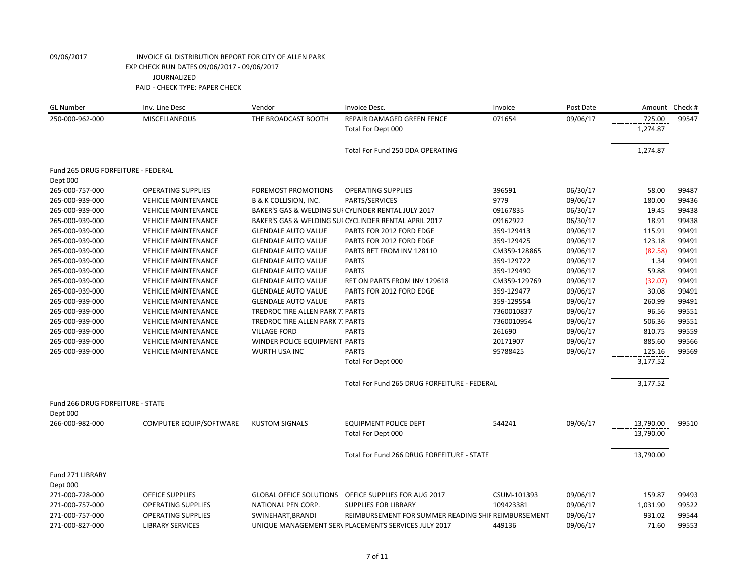| <b>GL Number</b>                   | Inv. Line Desc             | Vendor                                  | Invoice Desc.                                         | Invoice      | Post Date | Amount    | Check# |
|------------------------------------|----------------------------|-----------------------------------------|-------------------------------------------------------|--------------|-----------|-----------|--------|
| 250-000-962-000                    | <b>MISCELLANEOUS</b>       | THE BROADCAST BOOTH                     | REPAIR DAMAGED GREEN FENCE                            | 071654       | 09/06/17  | 725.00    | 99547  |
|                                    |                            |                                         | Total For Dept 000                                    |              |           | 1,274.87  |        |
|                                    |                            |                                         | Total For Fund 250 DDA OPERATING                      |              |           | 1,274.87  |        |
| Fund 265 DRUG FORFEITURE - FEDERAL |                            |                                         |                                                       |              |           |           |        |
| Dept 000                           |                            |                                         |                                                       |              |           |           |        |
| 265-000-757-000                    | <b>OPERATING SUPPLIES</b>  | <b>FOREMOST PROMOTIONS</b>              | <b>OPERATING SUPPLIES</b>                             | 396591       | 06/30/17  | 58.00     | 99487  |
| 265-000-939-000                    | <b>VEHICLE MAINTENANCE</b> | <b>B &amp; K COLLISION, INC.</b>        | PARTS/SERVICES                                        | 9779         | 09/06/17  | 180.00    | 99436  |
| 265-000-939-000                    | <b>VEHICLE MAINTENANCE</b> |                                         | BAKER'S GAS & WELDING SUI CYLINDER RENTAL JULY 2017   | 09167835     | 06/30/17  | 19.45     | 99438  |
| 265-000-939-000                    | <b>VEHICLE MAINTENANCE</b> |                                         | BAKER'S GAS & WELDING SUI CYCLINDER RENTAL APRIL 2017 | 09162922     | 06/30/17  | 18.91     | 99438  |
| 265-000-939-000                    | <b>VEHICLE MAINTENANCE</b> | <b>GLENDALE AUTO VALUE</b>              | PARTS FOR 2012 FORD EDGE                              | 359-129413   | 09/06/17  | 115.91    | 99491  |
| 265-000-939-000                    | <b>VEHICLE MAINTENANCE</b> | <b>GLENDALE AUTO VALUE</b>              | PARTS FOR 2012 FORD EDGE                              | 359-129425   | 09/06/17  | 123.18    | 99491  |
| 265-000-939-000                    | <b>VEHICLE MAINTENANCE</b> | <b>GLENDALE AUTO VALUE</b>              | PARTS RET FROM INV 128110                             | CM359-128865 | 09/06/17  | (82.58)   | 99491  |
| 265-000-939-000                    | <b>VEHICLE MAINTENANCE</b> | <b>GLENDALE AUTO VALUE</b>              | <b>PARTS</b>                                          | 359-129722   | 09/06/17  | 1.34      | 99491  |
| 265-000-939-000                    | <b>VEHICLE MAINTENANCE</b> | <b>GLENDALE AUTO VALUE</b>              | <b>PARTS</b>                                          | 359-129490   | 09/06/17  | 59.88     | 99491  |
| 265-000-939-000                    | <b>VEHICLE MAINTENANCE</b> | <b>GLENDALE AUTO VALUE</b>              | RET ON PARTS FROM INV 129618                          | CM359-129769 | 09/06/17  | (32.07)   | 99491  |
| 265-000-939-000                    | <b>VEHICLE MAINTENANCE</b> | <b>GLENDALE AUTO VALUE</b>              | PARTS FOR 2012 FORD EDGE                              | 359-129477   | 09/06/17  | 30.08     | 99491  |
| 265-000-939-000                    | <b>VEHICLE MAINTENANCE</b> | <b>GLENDALE AUTO VALUE</b>              | <b>PARTS</b>                                          | 359-129554   | 09/06/17  | 260.99    | 99491  |
| 265-000-939-000                    | <b>VEHICLE MAINTENANCE</b> | TREDROC TIRE ALLEN PARK 7: PARTS        |                                                       | 7360010837   | 09/06/17  | 96.56     | 99551  |
| 265-000-939-000                    | <b>VEHICLE MAINTENANCE</b> | <b>TREDROC TIRE ALLEN PARK 7: PARTS</b> |                                                       | 7360010954   | 09/06/17  | 506.36    | 99551  |
| 265-000-939-000                    | <b>VEHICLE MAINTENANCE</b> | <b>VILLAGE FORD</b>                     | <b>PARTS</b>                                          | 261690       | 09/06/17  | 810.75    | 99559  |
| 265-000-939-000                    | <b>VEHICLE MAINTENANCE</b> | WINDER POLICE EQUIPMENT PARTS           |                                                       | 20171907     | 09/06/17  | 885.60    | 99566  |
| 265-000-939-000                    | <b>VEHICLE MAINTENANCE</b> | <b>WURTH USA INC</b>                    | <b>PARTS</b>                                          | 95788425     | 09/06/17  | 125.16    | 99569  |
|                                    |                            |                                         | Total For Dept 000                                    |              |           | 3,177.52  |        |
|                                    |                            |                                         | Total For Fund 265 DRUG FORFEITURE - FEDERAL          |              |           | 3,177.52  |        |
| Fund 266 DRUG FORFEITURE - STATE   |                            |                                         |                                                       |              |           |           |        |
| Dept 000                           |                            |                                         |                                                       |              |           |           |        |
| 266-000-982-000                    | COMPUTER EQUIP/SOFTWARE    | <b>KUSTOM SIGNALS</b>                   | <b>EQUIPMENT POLICE DEPT</b>                          | 544241       | 09/06/17  | 13,790.00 | 99510  |
|                                    |                            |                                         | Total For Dept 000                                    |              |           | 13,790.00 |        |
|                                    |                            |                                         | Total For Fund 266 DRUG FORFEITURE - STATE            |              |           | 13,790.00 |        |
| Fund 271 LIBRARY                   |                            |                                         |                                                       |              |           |           |        |
| Dept 000                           |                            |                                         |                                                       |              |           |           |        |
| 271-000-728-000                    | <b>OFFICE SUPPLIES</b>     | <b>GLOBAL OFFICE SOLUTIONS</b>          | OFFICE SUPPLIES FOR AUG 2017                          | CSUM-101393  | 09/06/17  | 159.87    | 99493  |
| 271-000-757-000                    | <b>OPERATING SUPPLIES</b>  | NATIONAL PEN CORP.                      | <b>SUPPLIES FOR LIBRARY</b>                           | 109423381    | 09/06/17  | 1,031.90  | 99522  |
| 271-000-757-000                    | <b>OPERATING SUPPLIES</b>  | SWINEHART, BRANDI                       | REIMBURSEMENT FOR SUMMER READING SHIF REIMBURSEMENT   |              | 09/06/17  | 931.02    | 99544  |
| 271-000-827-000                    | <b>LIBRARY SERVICES</b>    |                                         | UNIQUE MANAGEMENT SERV PLACEMENTS SERVICES JULY 2017  | 449136       | 09/06/17  | 71.60     | 99553  |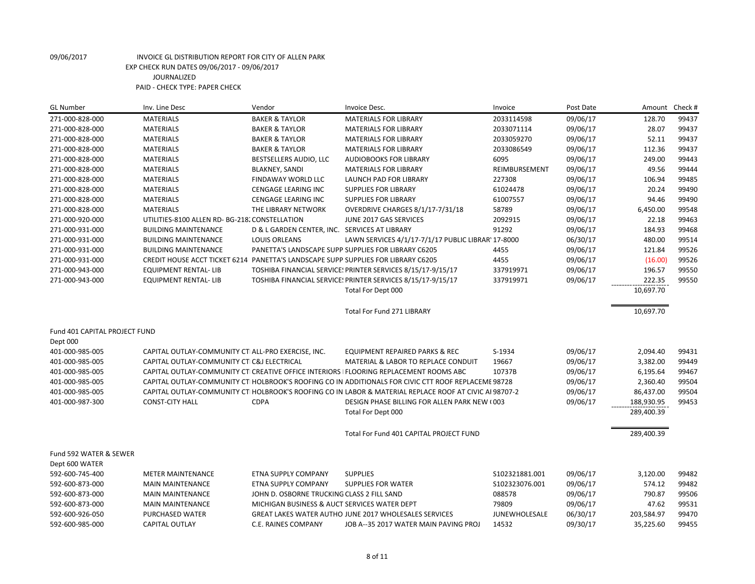| <b>GL Number</b>              | Inv. Line Desc                                                                    | Vendor                                        | Invoice Desc.                                                                                           | Invoice         | Post Date | Amount     | Check # |
|-------------------------------|-----------------------------------------------------------------------------------|-----------------------------------------------|---------------------------------------------------------------------------------------------------------|-----------------|-----------|------------|---------|
| 271-000-828-000               | <b>MATERIALS</b>                                                                  | <b>BAKER &amp; TAYLOR</b>                     | <b>MATERIALS FOR LIBRARY</b>                                                                            | 2033114598      | 09/06/17  | 128.70     | 99437   |
| 271-000-828-000               | <b>MATERIALS</b>                                                                  | <b>BAKER &amp; TAYLOR</b>                     | <b>MATERIALS FOR LIBRARY</b>                                                                            | 2033071114      | 09/06/17  | 28.07      | 99437   |
| 271-000-828-000               | <b>MATERIALS</b>                                                                  | <b>BAKER &amp; TAYLOR</b>                     | <b>MATERIALS FOR LIBRARY</b>                                                                            | 2033059270      | 09/06/17  | 52.11      | 99437   |
| 271-000-828-000               | <b>MATERIALS</b>                                                                  | <b>BAKER &amp; TAYLOR</b>                     | <b>MATERIALS FOR LIBRARY</b>                                                                            | 2033086549      | 09/06/17  | 112.36     | 99437   |
| 271-000-828-000               | <b>MATERIALS</b>                                                                  | BESTSELLERS AUDIO, LLC                        | <b>AUDIOBOOKS FOR LIBRARY</b>                                                                           | 6095            | 09/06/17  | 249.00     | 99443   |
| 271-000-828-000               | <b>MATERIALS</b>                                                                  | <b>BLAKNEY, SANDI</b>                         | <b>MATERIALS FOR LIBRARY</b>                                                                            | REIMBURSEMENT   | 09/06/17  | 49.56      | 99444   |
| 271-000-828-000               | <b>MATERIALS</b>                                                                  | FINDAWAY WORLD LLC                            | LAUNCH PAD FOR LIBRARY                                                                                  | 227308          | 09/06/17  | 106.94     | 99485   |
| 271-000-828-000               | <b>MATERIALS</b>                                                                  | CENGAGE LEARING INC                           | <b>SUPPLIES FOR LIBRARY</b>                                                                             | 61024478        | 09/06/17  | 20.24      | 99490   |
| 271-000-828-000               | <b>MATERIALS</b>                                                                  | CENGAGE LEARING INC                           | <b>SUPPLIES FOR LIBRARY</b>                                                                             | 61007557        | 09/06/17  | 94.46      | 99490   |
| 271-000-828-000               | <b>MATERIALS</b>                                                                  | THE LIBRARY NETWORK                           | OVERDRIVE CHARGES 8/1/17-7/31/18                                                                        | 58789           | 09/06/17  | 6,450.00   | 99548   |
| 271-000-920-000               | UTILITIES-8100 ALLEN RD- BG-218. CONSTELLATION                                    |                                               | JUNE 2017 GAS SERVICES                                                                                  | 2092915         | 09/06/17  | 22.18      | 99463   |
| 271-000-931-000               | <b>BUILDING MAINTENANCE</b>                                                       | D & L GARDEN CENTER, INC. SERVICES AT LIBRARY |                                                                                                         | 91292           | 09/06/17  | 184.93     | 99468   |
| 271-000-931-000               | <b>BUILDING MAINTENANCE</b>                                                       | <b>LOUIS ORLEANS</b>                          | LAWN SERVICES 4/1/17-7/1/17 PUBLIC LIBRAR' 17-8000                                                      |                 | 06/30/17  | 480.00     | 99514   |
| 271-000-931-000               | <b>BUILDING MAINTENANCE</b>                                                       |                                               | PANETTA'S LANDSCAPE SUPP SUPPLIES FOR LIBRARY C6205                                                     | 4455            | 09/06/17  | 121.84     | 99526   |
| 271-000-931-000               | CREDIT HOUSE ACCT TICKET 6214 PANETTA'S LANDSCAPE SUPP SUPPLIES FOR LIBRARY C6205 |                                               |                                                                                                         | 4455            | 09/06/17  | (16.00)    | 99526   |
| 271-000-943-000               | <b>EQUIPMENT RENTAL-LIB</b>                                                       |                                               | TOSHIBA FINANCIAL SERVICE: PRINTER SERVICES 8/15/17-9/15/17                                             | 337919971       | 09/06/17  | 196.57     | 99550   |
| 271-000-943-000               | <b>EQUIPMENT RENTAL- LIB</b>                                                      |                                               | TOSHIBA FINANCIAL SERVICE: PRINTER SERVICES 8/15/17-9/15/17                                             | 337919971       | 09/06/17  | 222.35     | 99550   |
|                               |                                                                                   |                                               | Total For Dept 000                                                                                      |                 |           | 10.697.70  |         |
|                               |                                                                                   |                                               |                                                                                                         |                 |           |            |         |
|                               |                                                                                   |                                               | <b>Total For Fund 271 LIBRARY</b>                                                                       |                 |           | 10,697.70  |         |
|                               |                                                                                   |                                               |                                                                                                         |                 |           |            |         |
| Fund 401 CAPITAL PROJECT FUND |                                                                                   |                                               |                                                                                                         |                 |           |            |         |
| Dept 000                      |                                                                                   |                                               |                                                                                                         |                 |           |            |         |
| 401-000-985-005               | CAPITAL OUTLAY-COMMUNITY CTI ALL-PRO EXERCISE, INC.                               |                                               | <b>EQUIPMENT REPAIRED PARKS &amp; REC</b>                                                               | S-1934          | 09/06/17  | 2,094.40   | 99431   |
| 401-000-985-005               | CAPITAL OUTLAY-COMMUNITY CTIC&J ELECTRICAL                                        |                                               | <b>MATERIAL &amp; LABOR TO REPLACE CONDUIT</b>                                                          | 19667           | 09/06/17  | 3,382.00   | 99449   |
| 401-000-985-005               |                                                                                   |                                               | CAPITAL OUTLAY-COMMUNITY CTI CREATIVE OFFICE INTERIORS   FLOORING REPLACEMENT ROOMS ABC                 | 10737B          | 09/06/17  | 6,195.64   | 99467   |
| 401-000-985-005               |                                                                                   |                                               | CAPITAL OUTLAY-COMMUNITY CTI HOLBROOK'S ROOFING CO IN ADDITIONALS FOR CIVIC CTT ROOF REPLACEME 98728    |                 | 09/06/17  | 2,360.40   | 99504   |
| 401-000-985-005               |                                                                                   |                                               | CAPITAL OUTLAY-COMMUNITY CTI HOLBROOK'S ROOFING CO IN LABOR & MATERIAL REPLACE ROOF AT CIVIC AI 98707-2 |                 | 09/06/17  | 86,437.00  | 99504   |
| 401-000-987-300               | <b>CONST-CITY HALL</b>                                                            | <b>CDPA</b>                                   | DESIGN PHASE BILLING FOR ALLEN PARK NEW (003                                                            |                 | 09/06/17  | 188,930.95 | 99453   |
|                               |                                                                                   |                                               | Total For Dept 000                                                                                      |                 |           | 289,400.39 |         |
|                               |                                                                                   |                                               | Total For Fund 401 CAPITAL PROJECT FUND                                                                 |                 |           | 289,400.39 |         |
|                               |                                                                                   |                                               |                                                                                                         |                 |           |            |         |
| Fund 592 WATER & SEWER        |                                                                                   |                                               |                                                                                                         |                 |           |            |         |
| Dept 600 WATER                |                                                                                   |                                               |                                                                                                         |                 |           |            |         |
| 592-600-745-400               | <b>METER MAINTENANCE</b>                                                          | ETNA SUPPLY COMPANY                           | <b>SUPPLIES</b>                                                                                         | \$102321881.001 | 09/06/17  | 3,120.00   | 99482   |
| 592-600-873-000               | <b>MAIN MAINTENANCE</b>                                                           | <b>ETNA SUPPLY COMPANY</b>                    | <b>SUPPLIES FOR WATER</b>                                                                               | S102323076.001  | 09/06/17  | 574.12     | 99482   |
| 592-600-873-000               | <b>MAIN MAINTENANCE</b>                                                           | JOHN D. OSBORNE TRUCKING CLASS 2 FILL SAND    |                                                                                                         | 088578          | 09/06/17  | 790.87     | 99506   |
| 592-600-873-000               | <b>MAIN MAINTENANCE</b>                                                           | MICHIGAN BUSINESS & AUCT SERVICES WATER DEPT  |                                                                                                         | 79809           | 09/06/17  | 47.62      | 99531   |
| 592-600-926-050               | PURCHASED WATER                                                                   |                                               | GREAT LAKES WATER AUTHO JUNE 2017 WHOLESALES SERVICES                                                   | JUNEWHOLESALE   | 06/30/17  | 203,584.97 | 99470   |
| 592-600-985-000               | <b>CAPITAL OUTLAY</b>                                                             | C.E. RAINES COMPANY                           | JOB A--35 2017 WATER MAIN PAVING PROJ                                                                   | 14532           | 09/30/17  | 35,225.60  | 99455   |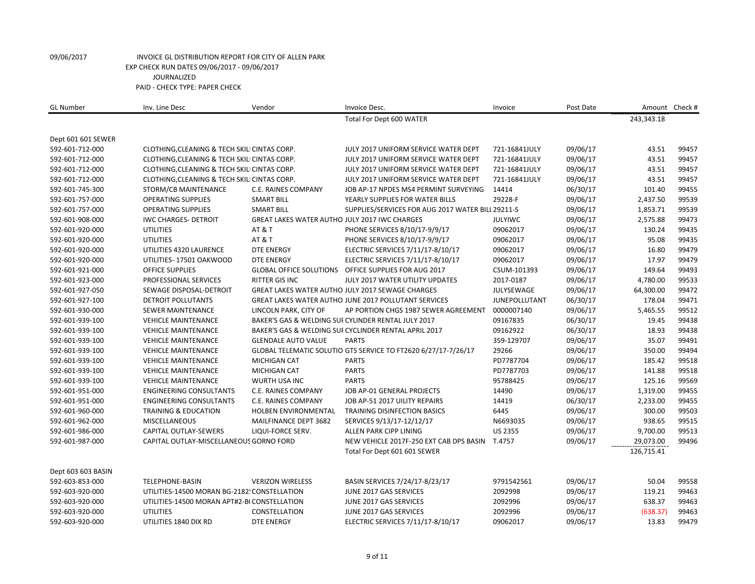| <b>GL Number</b>   | Inv. Line Desc                               | Vendor                                        | Invoice Desc.                                                  | Invoice              | Post Date |            | Amount Check # |
|--------------------|----------------------------------------------|-----------------------------------------------|----------------------------------------------------------------|----------------------|-----------|------------|----------------|
|                    |                                              |                                               | Total For Dept 600 WATER                                       |                      |           | 243,343.18 |                |
| Dept 601 601 SEWER |                                              |                                               |                                                                |                      |           |            |                |
| 592-601-712-000    | CLOTHING, CLEANING & TECH SKILI CINTAS CORP. |                                               | JULY 2017 UNIFORM SERVICE WATER DEPT                           | 721-16841JULY        | 09/06/17  | 43.51      | 99457          |
| 592-601-712-000    | CLOTHING, CLEANING & TECH SKILI CINTAS CORP. |                                               | JULY 2017 UNIFORM SERVICE WATER DEPT                           | 721-16841JULY        | 09/06/17  | 43.51      | 99457          |
| 592-601-712-000    | CLOTHING, CLEANING & TECH SKILI CINTAS CORP. |                                               | JULY 2017 UNIFORM SERVICE WATER DEPT                           | 721-16841JULY        | 09/06/17  | 43.51      | 99457          |
| 592-601-712-000    | CLOTHING, CLEANING & TECH SKILI CINTAS CORP. |                                               | JULY 2017 UNIFORM SERVICE WATER DEPT                           | 721-16841JULY        | 09/06/17  | 43.51      | 99457          |
| 592-601-745-300    | STORM/CB MAINTENANCE                         | C.E. RAINES COMPANY                           | JOB AP-17 NPDES MS4 PERMINT SURVEYING                          | 14414                | 06/30/17  | 101.40     | 99455          |
| 592-601-757-000    | <b>OPERATING SUPPLIES</b>                    | <b>SMART BILL</b>                             | YEARLY SUPPLIES FOR WATER BILLS                                | 29228-F              | 09/06/17  | 2,437.50   | 99539          |
| 592-601-757-000    | <b>OPERATING SUPPLIES</b>                    | <b>SMART BILL</b>                             | SUPPLIES/SERVICES FOR AUG 2017 WATER BILL 29211-S              |                      | 09/06/17  | 1,853.71   | 99539          |
| 592-601-908-000    | <b>IWC CHARGES- DETROIT</b>                  | GREAT LAKES WATER AUTHO JULY 2017 IWC CHARGES |                                                                | <b>JULYIWC</b>       | 09/06/17  | 2,575.88   | 99473          |
| 592-601-920-000    | <b>UTILITIES</b>                             | <b>AT &amp; T</b>                             | PHONE SERVICES 8/10/17-9/9/17                                  | 09062017             | 09/06/17  | 130.24     | 99435          |
| 592-601-920-000    | <b>UTILITIES</b>                             | <b>AT &amp; T</b>                             | PHONE SERVICES 8/10/17-9/9/17                                  | 09062017             | 09/06/17  | 95.08      | 99435          |
| 592-601-920-000    | UTILITIES 4320 LAURENCE                      | <b>DTE ENERGY</b>                             | ELECTRIC SERVICES 7/11/17-8/10/17                              | 09062017             | 09/06/17  | 16.80      | 99479          |
| 592-601-920-000    | UTILITIES-17501 OAKWOOD                      | <b>DTE ENERGY</b>                             | ELECTRIC SERVICES 7/11/17-8/10/17                              | 09062017             | 09/06/17  | 17.97      | 99479          |
| 592-601-921-000    | <b>OFFICE SUPPLIES</b>                       |                                               | GLOBAL OFFICE SOLUTIONS OFFICE SUPPLIES FOR AUG 2017           | CSUM-101393          | 09/06/17  | 149.64     | 99493          |
| 592-601-923-000    | PROFESSIONAL SERVICES                        | RITTER GIS INC                                | JULY 2017 WATER UTILITY UPDATES                                | 2017-0187            | 09/06/17  | 4,780.00   | 99533          |
| 592-601-927-050    | SEWAGE DISPOSAL-DETROIT                      |                                               | GREAT LAKES WATER AUTHO JULY 2017 SEWAGE CHARGES               | JULYSEWAGE           | 09/06/17  | 64,300.00  | 99472          |
| 592-601-927-100    | <b>DETROIT POLLUTANTS</b>                    |                                               | GREAT LAKES WATER AUTHO JUNE 2017 POLLUTANT SERVICES           | <b>JUNEPOLLUTANT</b> | 06/30/17  | 178.04     | 99471          |
| 592-601-930-000    | SEWER MAINTENANCE                            | LINCOLN PARK, CITY OF                         | AP PORTION CHGS 1987 SEWER AGREEMENT                           | 0000007140           | 09/06/17  | 5,465.55   | 99512          |
| 592-601-939-100    | <b>VEHICLE MAINTENANCE</b>                   |                                               | BAKER'S GAS & WELDING SUI CYLINDER RENTAL JULY 2017            | 09167835             | 06/30/17  | 19.45      | 99438          |
| 592-601-939-100    | <b>VEHICLE MAINTENANCE</b>                   |                                               | BAKER'S GAS & WELDING SUI CYCLINDER RENTAL APRIL 2017          | 09162922             | 06/30/17  | 18.93      | 99438          |
| 592-601-939-100    | <b>VEHICLE MAINTENANCE</b>                   | <b>GLENDALE AUTO VALUE</b>                    | <b>PARTS</b>                                                   | 359-129707           | 09/06/17  | 35.07      | 99491          |
| 592-601-939-100    | <b>VEHICLE MAINTENANCE</b>                   |                                               | GLOBAL TELEMATIC SOLUTIO GTS SERVICE TO FT2620 6/27/17-7/26/17 | 29266                | 09/06/17  | 350.00     | 99494          |
| 592-601-939-100    | <b>VEHICLE MAINTENANCE</b>                   | <b>MICHIGAN CAT</b>                           | <b>PARTS</b>                                                   | PD7787704            | 09/06/17  | 185.42     | 99518          |
| 592-601-939-100    | <b>VEHICLE MAINTENANCE</b>                   | MICHIGAN CAT                                  | <b>PARTS</b>                                                   | PD7787703            | 09/06/17  | 141.88     | 99518          |
| 592-601-939-100    | <b>VEHICLE MAINTENANCE</b>                   | WURTH USA INC                                 | <b>PARTS</b>                                                   | 95788425             | 09/06/17  | 125.16     | 99569          |
| 592-601-951-000    | <b>ENGINEERING CONSULTANTS</b>               | C.E. RAINES COMPANY                           | JOB AP-01 GENERAL PROJECTS                                     | 14490                | 09/06/17  | 1,319.00   | 99455          |
| 592-601-951-000    | <b>ENGINEERING CONSULTANTS</b>               | C.E. RAINES COMPANY                           | JOB AP-51 2017 UILITY REPAIRS                                  | 14419                | 06/30/17  | 2,233.00   | 99455          |
| 592-601-960-000    | <b>TRAINING &amp; EDUCATION</b>              | <b>HOLBEN ENVIRONMENTAL</b>                   | <b>TRAINING DISINFECTION BASICS</b>                            | 6445                 | 09/06/17  | 300.00     | 99503          |
| 592-601-962-000    | MISCELLANEOUS                                | MAILFINANCE DEPT 3682                         | SERVICES 9/13/17-12/12/17                                      | N6693035             | 09/06/17  | 938.65     | 99515          |
| 592-601-986-000    | CAPITAL OUTLAY-SEWERS                        | LIQUI-FORCE SERV.                             | ALLEN PARK CIPP LINING                                         | <b>US 2355</b>       | 09/06/17  | 9,700.00   | 99513          |
| 592-601-987-000    | CAPITAL OUTLAY-MISCELLANEOUS GORNO FORD      |                                               | NEW VEHICLE 2017F-250 EXT CAB DPS BASIN                        | T.4757               | 09/06/17  | 29,073.00  | 99496          |
|                    |                                              |                                               | Total For Dept 601 601 SEWER                                   |                      |           | 126,715.41 |                |
| Dept 603 603 BASIN |                                              |                                               |                                                                |                      |           |            |                |
| 592-603-853-000    | TELEPHONE-BASIN                              | <b>VERIZON WIRELESS</b>                       | BASIN SERVICES 7/24/17-8/23/17                                 | 9791542561           | 09/06/17  | 50.04      | 99558          |
| 592-603-920-000    | UTILITIES-14500 MORAN BG-2182! CONSTELLATION |                                               | JUNE 2017 GAS SERVICES                                         | 2092998              | 09/06/17  | 119.21     | 99463          |
| 592-603-920-000    | UTILITIES-14500 MORAN APT#2-BI CONSTELLATION |                                               | JUNE 2017 GAS SERVICES                                         | 2092996              | 09/06/17  | 638.37     | 99463          |
| 592-603-920-000    | <b>UTILITIES</b>                             | CONSTELLATION                                 | JUNE 2017 GAS SERVICES                                         | 2092996              | 09/06/17  | (638.37)   | 99463          |
| 592-603-920-000    | UTILITIES 1840 DIX RD                        | <b>DTE ENERGY</b>                             | ELECTRIC SERVICES 7/11/17-8/10/17                              | 09062017             | 09/06/17  | 13.83      | 99479          |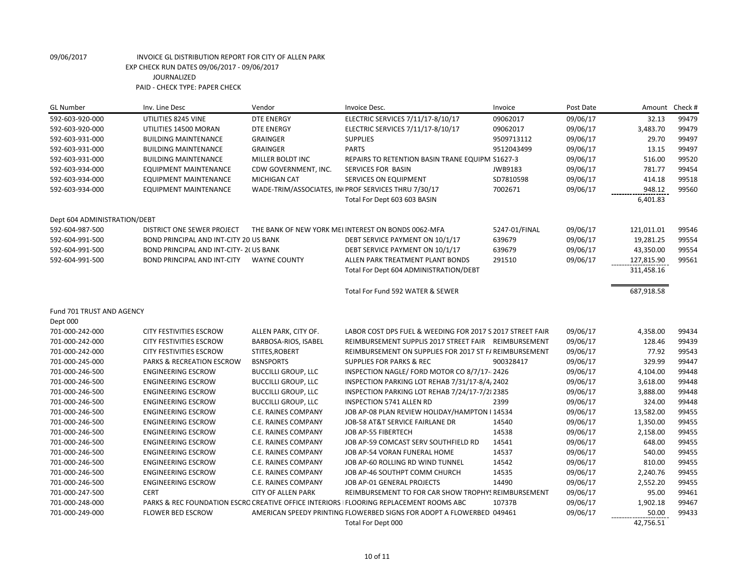| <b>GL Number</b>             | Inv. Line Desc                          | Vendor                     | Invoice Desc.                                                                           | Invoice       | Post Date | Amount     | Check # |
|------------------------------|-----------------------------------------|----------------------------|-----------------------------------------------------------------------------------------|---------------|-----------|------------|---------|
| 592-603-920-000              | UTILITIES 8245 VINE                     | <b>DTE ENERGY</b>          | ELECTRIC SERVICES 7/11/17-8/10/17                                                       | 09062017      | 09/06/17  | 32.13      | 99479   |
| 592-603-920-000              | UTILITIES 14500 MORAN                   | <b>DTE ENERGY</b>          | ELECTRIC SERVICES 7/11/17-8/10/17                                                       | 09062017      | 09/06/17  | 3,483.70   | 99479   |
| 592-603-931-000              | <b>BUILDING MAINTENANCE</b>             | <b>GRAINGER</b>            | <b>SUPPLIES</b>                                                                         | 9509713112    | 09/06/17  | 29.70      | 99497   |
| 592-603-931-000              | <b>BUILDING MAINTENANCE</b>             | <b>GRAINGER</b>            | <b>PARTS</b>                                                                            | 9512043499    | 09/06/17  | 13.15      | 99497   |
| 592-603-931-000              | <b>BUILDING MAINTENANCE</b>             | MILLER BOLDT INC           | REPAIRS TO RETENTION BASIN TRANE EQUIPM S1627-3                                         |               | 09/06/17  | 516.00     | 99520   |
| 592-603-934-000              | <b>EQUIPMENT MAINTENANCE</b>            | CDW GOVERNMENT, INC.       | SERVICES FOR BASIN                                                                      | JWB9183       | 09/06/17  | 781.77     | 99454   |
| 592-603-934-000              | <b>EQUIPMENT MAINTENANCE</b>            | <b>MICHIGAN CAT</b>        | SERVICES ON EQUIPMENT                                                                   | SD7810598     | 09/06/17  | 414.18     | 99518   |
| 592-603-934-000              | <b>EQUIPMENT MAINTENANCE</b>            |                            | WADE-TRIM/ASSOCIATES, IN PROF SERVICES THRU 7/30/17                                     | 7002671       | 09/06/17  | 948.12     | 99560   |
|                              |                                         |                            | Total For Dept 603 603 BASIN                                                            |               |           | 6,401.83   |         |
| Dept 604 ADMINISTRATION/DEBT |                                         |                            |                                                                                         |               |           |            |         |
| 592-604-987-500              | DISTRICT ONE SEWER PROJECT              |                            | THE BANK OF NEW YORK MEI INTEREST ON BONDS 0062-MFA                                     | 5247-01/FINAL | 09/06/17  | 121,011.01 | 99546   |
| 592-604-991-500              | BOND PRINCIPAL AND INT-CITY 20 US BANK  |                            | DEBT SERVICE PAYMENT ON 10/1/17                                                         | 639679        | 09/06/17  | 19,281.25  | 99554   |
| 592-604-991-500              | BOND PRINCIPAL AND INT-CITY- 2( US BANK |                            | DEBT SERVICE PAYMENT ON 10/1/17                                                         | 639679        | 09/06/17  | 43,350.00  | 99554   |
| 592-604-991-500              | <b>BOND PRINCIPAL AND INT-CITY</b>      | <b>WAYNE COUNTY</b>        | ALLEN PARK TREATMENT PLANT BONDS                                                        | 291510        | 09/06/17  | 127,815.90 | 99561   |
|                              |                                         |                            | Total For Dept 604 ADMINISTRATION/DEBT                                                  |               |           | 311,458.16 |         |
|                              |                                         |                            | Total For Fund 592 WATER & SEWER                                                        |               |           | 687,918.58 |         |
| Fund 701 TRUST AND AGENCY    |                                         |                            |                                                                                         |               |           |            |         |
| Dept 000                     |                                         |                            |                                                                                         |               |           |            |         |
| 701-000-242-000              | CITY FESTIVITIES ESCROW                 | ALLEN PARK, CITY OF.       | LABOR COST DPS FUEL & WEEDING FOR 2017 S 2017 STREET FAIR                               |               | 09/06/17  | 4,358.00   | 99434   |
| 701-000-242-000              | <b>CITY FESTIVITIES ESCROW</b>          | BARBOSA-RIOS, ISABEL       | REIMBURSEMENT SUPPLIS 2017 STREET FAIR REIMBURSEMENT                                    |               | 09/06/17  | 128.46     | 99439   |
| 701-000-242-000              | <b>CITY FESTIVITIES ESCROW</b>          | STITES, ROBERT             | REIMBURSEMENT ON SUPPLIES FOR 2017 ST F/ REIMBURSEMENT                                  |               | 09/06/17  | 77.92      | 99543   |
| 701-000-245-000              | PARKS & RECREATION ESCROW               | <b>BSNSPORTS</b>           | <b>SUPPLIES FOR PARKS &amp; REC</b>                                                     | 900328417     | 09/06/17  | 329.99     | 99447   |
| 701-000-246-500              | <b>ENGINEERING ESCROW</b>               | <b>BUCCILLI GROUP, LLC</b> | INSPECTION NAGLE/ FORD MOTOR CO 8/7/17-2426                                             |               | 09/06/17  | 4,104.00   | 99448   |
| 701-000-246-500              | <b>ENGINEERING ESCROW</b>               | <b>BUCCILLI GROUP, LLC</b> | INSPECTION PARKING LOT REHAB 7/31/17-8/4, 2402                                          |               | 09/06/17  | 3,618.00   | 99448   |
| 701-000-246-500              | <b>ENGINEERING ESCROW</b>               | <b>BUCCILLI GROUP, LLC</b> | INSPECTION PARKING LOT REHAB 7/24/17-7/21 2385                                          |               | 09/06/17  | 3,888.00   | 99448   |
| 701-000-246-500              | <b>ENGINEERING ESCROW</b>               | <b>BUCCILLI GROUP, LLC</b> | <b>INSPECTION 5741 ALLEN RD</b>                                                         | 2399          | 09/06/17  | 324.00     | 99448   |
| 701-000-246-500              | <b>ENGINEERING ESCROW</b>               | C.E. RAINES COMPANY        | JOB AP-08 PLAN REVIEW HOLIDAY/HAMPTON I 14534                                           |               | 09/06/17  | 13,582.00  | 99455   |
| 701-000-246-500              | <b>ENGINEERING ESCROW</b>               | C.E. RAINES COMPANY        | JOB-58 AT&T SERVICE FAIRLANE DR                                                         | 14540         | 09/06/17  | 1,350.00   | 99455   |
| 701-000-246-500              | <b>ENGINEERING ESCROW</b>               | C.E. RAINES COMPANY        | JOB AP-55 FIBERTECH                                                                     | 14538         | 09/06/17  | 2,158.00   | 99455   |
| 701-000-246-500              | <b>ENGINEERING ESCROW</b>               | C.E. RAINES COMPANY        | JOB AP-59 COMCAST SERV SOUTHFIELD RD                                                    | 14541         | 09/06/17  | 648.00     | 99455   |
| 701-000-246-500              | <b>ENGINEERING ESCROW</b>               | C.E. RAINES COMPANY        | JOB AP-54 VORAN FUNERAL HOME                                                            | 14537         | 09/06/17  | 540.00     | 99455   |
| 701-000-246-500              | <b>ENGINEERING ESCROW</b>               | C.E. RAINES COMPANY        | JOB AP-60 ROLLING RD WIND TUNNEL                                                        | 14542         | 09/06/17  | 810.00     | 99455   |
| 701-000-246-500              | <b>ENGINEERING ESCROW</b>               | C.E. RAINES COMPANY        | JOB AP-46 SOUTHPT COMM CHURCH                                                           | 14535         | 09/06/17  | 2,240.76   | 99455   |
| 701-000-246-500              | <b>ENGINEERING ESCROW</b>               | C.E. RAINES COMPANY        | JOB AP-01 GENERAL PROJECTS                                                              | 14490         | 09/06/17  | 2,552.20   | 99455   |
| 701-000-247-500              | <b>CERT</b>                             | <b>CITY OF ALLEN PARK</b>  | REIMBURSEMENT TO FOR CAR SHOW TROPHYS REIMBURSEMENT                                     |               | 09/06/17  | 95.00      | 99461   |
| 701-000-248-000              |                                         |                            | PARKS & REC FOUNDATION ESCRO CREATIVE OFFICE INTERIORS   FLOORING REPLACEMENT ROOMS ABC | 10737B        | 09/06/17  | 1,902.18   | 99467   |
| 701-000-249-000              | <b>FLOWER BED ESCROW</b>                |                            | AMERICAN SPEEDY PRINTING FLOWERBED SIGNS FOR ADOPT A FLOWERBED 049461                   |               | 09/06/17  | 50.00      | 99433   |
|                              |                                         |                            | Total For Dept 000                                                                      |               |           | 42,756.51  |         |